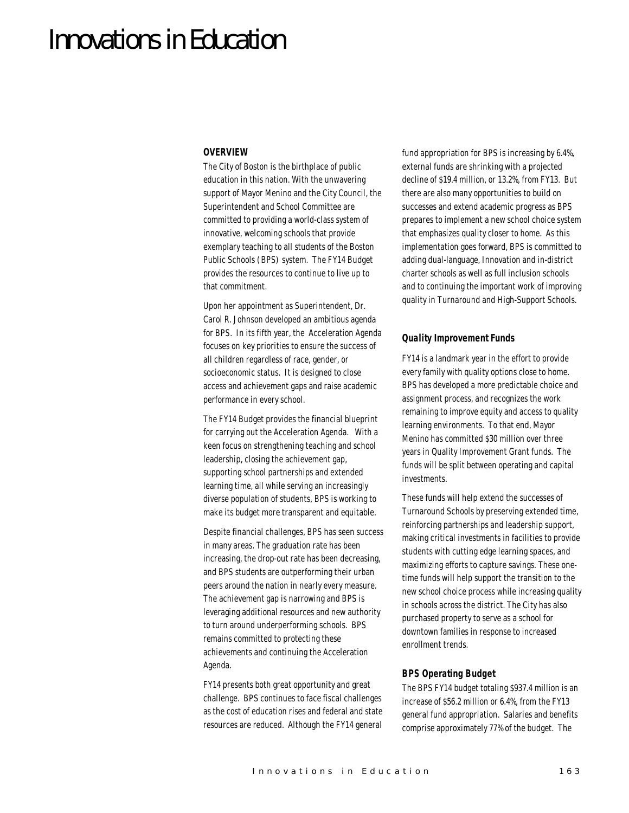# Innovations in Education

#### *OVERVIEW*

The City of Boston is the birthplace of public education in this nation. With the unwavering support of Mayor Menino and the City Council, the Superintendent and School Committee are committed to providing a world-class system of innovative, welcoming schools that provide exemplary teaching to all students of the Boston Public Schools (BPS) system. The FY14 Budget provides the resources to continue to live up to that commitment.

Upon her appointment as Superintendent, Dr. Carol R. Johnson developed an ambitious agenda for BPS. In its fifth year, the Acceleration Agenda focuses on key priorities to ensure the success of all children regardless of race, gender, or socioeconomic status. It is designed to close access and achievement gaps and raise academic performance in every school.

The FY14 Budget provides the financial blueprint for carrying out the Acceleration Agenda. With a keen focus on strengthening teaching and school leadership, closing the achievement gap, supporting school partnerships and extended learning time, all while serving an increasingly diverse population of students, BPS is working to make its budget more transparent and equitable.

Despite financial challenges, BPS has seen success in many areas. The graduation rate has been increasing, the drop-out rate has been decreasing, and BPS students are outperforming their urban peers around the nation in nearly every measure. The achievement gap is narrowing and BPS is leveraging additional resources and new authority to turn around underperforming schools. BPS remains committed to protecting these achievements and continuing the Acceleration Agenda.

FY14 presents both great opportunity and great challenge. BPS continues to face fiscal challenges as the cost of education rises and federal and state resources are reduced. Although the FY14 general

fund appropriation for BPS is increasing by 6.4%, external funds are shrinking with a projected decline of \$19.4 million, or 13.2%, from FY13. But there are also many opportunities to build on successes and extend academic progress as BPS prepares to implement a new school choice system that emphasizes quality closer to home. As this implementation goes forward, BPS is committed to adding dual-language, Innovation and in-district charter schools as well as full inclusion schools and to continuing the important work of improving quality in Turnaround and High-Support Schools.

#### *Quality Improvement Funds*

FY14 is a landmark year in the effort to provide every family with quality options close to home. BPS has developed a more predictable choice and assignment process, and recognizes the work remaining to improve equity and access to quality learning environments. To that end, Mayor Menino has committed \$30 million over three years in Quality Improvement Grant funds. The funds will be split between operating and capital investments.

These funds will help extend the successes of Turnaround Schools by preserving extended time, reinforcing partnerships and leadership support, making critical investments in facilities to provide students with cutting edge learning spaces, and maximizing efforts to capture savings. These onetime funds will help support the transition to the new school choice process while increasing quality in schools across the district. The City has also purchased property to serve as a school for downtown families in response to increased enrollment trends.

#### *BPS Operating Budget*

The BPS FY14 budget totaling \$937.4 million is an increase of \$56.2 million or 6.4%, from the FY13 general fund appropriation. Salaries and benefits comprise approximately 77% of the budget. The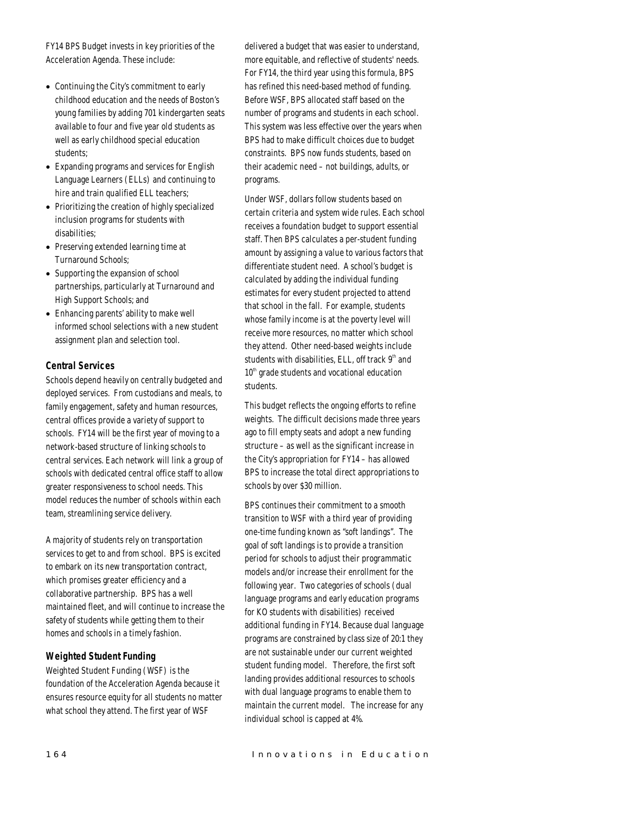FY14 BPS Budget invests in key priorities of the Acceleration Agenda. These include:

- Continuing the City's commitment to early childhood education and the needs of Boston's young families by adding 701 kindergarten seats available to four and five year old students as well as early childhood special education students;
- Expanding programs and services for English Language Learners (ELLs) and continuing to hire and train qualified ELL teachers;
- Prioritizing the creation of highly specialized inclusion programs for students with disabilities;
- Preserving extended learning time at Turnaround Schools;
- Supporting the expansion of school partnerships, particularly at Turnaround and High Support Schools; and
- Enhancing parents' ability to make well informed school selections with a new student assignment plan and selection tool.

## *Central Services*

Schools depend heavily on centrally budgeted and deployed services. From custodians and meals, to family engagement, safety and human resources, central offices provide a variety of support to schools. FY14 will be the first year of moving to a network-based structure of linking schools to central services. Each network will link a group of schools with dedicated central office staff to allow greater responsiveness to school needs. This model reduces the number of schools within each team, streamlining service delivery.

A majority of students rely on transportation services to get to and from school. BPS is excited to embark on its new transportation contract, which promises greater efficiency and a collaborative partnership. BPS has a well maintained fleet, and will continue to increase the safety of students while getting them to their homes and schools in a timely fashion.

# *Weighted Student Funding*

Weighted Student Funding (WSF) is the foundation of the Acceleration Agenda because it ensures resource equity for all students no matter what school they attend. The first year of WSF

delivered a budget that was easier to understand, more equitable, and reflective of students' needs. For FY14, the third year using this formula, BPS has refined this need-based method of funding. Before WSF, BPS allocated staff based on the number of programs and students in each school. This system was less effective over the years when BPS had to make difficult choices due to budget constraints. BPS now funds students, based on their academic need – not buildings, adults, or programs.

Under WSF, dollars follow students based on certain criteria and system wide rules. Each school receives a foundation budget to support essential staff. Then BPS calculates a per-student funding amount by assigning a value to various factors that differentiate student need. A school's budget is calculated by adding the individual funding estimates for every student projected to attend that school in the fall. For example, students whose family income is at the poverty level will receive more resources, no matter which school they attend. Other need-based weights include students with disabilities, ELL, off track  $9<sup>th</sup>$  and 10<sup>th</sup> grade students and vocational education students.

This budget reflects the ongoing efforts to refine weights. The difficult decisions made three years ago to fill empty seats and adopt a new funding structure – as well as the significant increase in the City's appropriation for FY14 – has allowed BPS to increase the total direct appropriations to schools by over \$30 million.

BPS continues their commitment to a smooth transition to WSF with a third year of providing one-time funding known as "soft landings". The goal of soft landings is to provide a transition period for schools to adjust their programmatic models and/or increase their enrollment for the following year. Two categories of schools (dual language programs and early education programs for KO students with disabilities) received additional funding in FY14. Because dual language programs are constrained by class size of 20:1 they are not sustainable under our current weighted student funding model. Therefore, the first soft landing provides additional resources to schools with dual language programs to enable them to maintain the current model. The increase for any individual school is capped at 4%.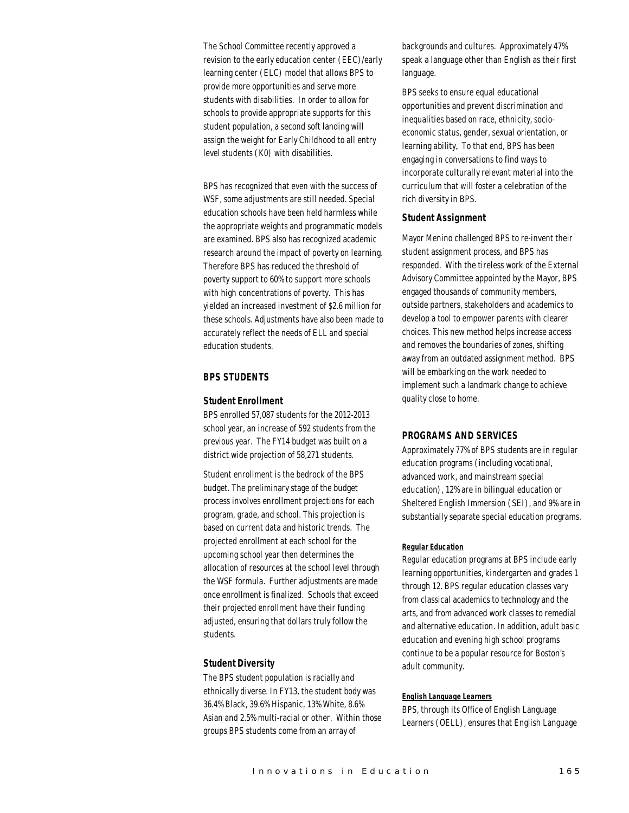The School Committee recently approved a revision to the early education center (EEC)/early learning center (ELC) model that allows BPS to provide more opportunities and serve more students with disabilities. In order to allow for schools to provide appropriate supports for this student population, a second soft landing will assign the weight for Early Childhood to all entry level students (K0) with disabilities.

BPS has recognized that even with the success of WSF, some adjustments are still needed. Special education schools have been held harmless while the appropriate weights and programmatic models are examined. BPS also has recognized academic research around the impact of poverty on learning. Therefore BPS has reduced the threshold of poverty support to 60% to support more schools with high concentrations of poverty. This has yielded an increased investment of \$2.6 million for these schools. Adjustments have also been made to accurately reflect the needs of ELL and special education students.

#### *BPS STUDENTS*

#### *Student Enrollment*

BPS enrolled 57,087 students for the 2012-2013 school year, an increase of 592 students from the previous year. The FY14 budget was built on a district wide projection of 58,271 students.

Student enrollment is the bedrock of the BPS budget. The preliminary stage of the budget process involves enrollment projections for each program, grade, and school. This projection is based on current data and historic trends. The projected enrollment at each school for the upcoming school year then determines the allocation of resources at the school level through the WSF formula. Further adjustments are made once enrollment is finalized. Schools that exceed their projected enrollment have their funding adjusted, ensuring that dollars truly follow the students.

#### *Student Diversity*

The BPS student population is racially and ethnically diverse. In FY13, the student body was 36.4% Black, 39.6% Hispanic, 13% White, 8.6% Asian and 2.5% multi-racial or other. Within those groups BPS students come from an array of

backgrounds and cultures. Approximately 47% speak a language other than English as their first language.

BPS seeks to ensure equal educational opportunities and prevent discrimination and inequalities based on race, ethnicity, socioeconomic status, gender, sexual orientation, or learning ability. To that end, BPS has been engaging in conversations to find ways to incorporate culturally relevant material into the curriculum that will foster a celebration of the rich diversity in BPS.

#### *Student Assignment*

Mayor Menino challenged BPS to re-invent their student assignment process, and BPS has responded. With the tireless work of the External Advisory Committee appointed by the Mayor, BPS engaged thousands of community members, outside partners, stakeholders and academics to develop a tool to empower parents with clearer choices. This new method helps increase access and removes the boundaries of zones, shifting away from an outdated assignment method. BPS will be embarking on the work needed to implement such a landmark change to achieve quality close to home.

#### *PROGRAMS AND SERVICES*

Approximately 77% of BPS students are in regular education programs (including vocational, advanced work, and mainstream special education), 12% are in bilingual education or Sheltered English Immersion (SEI), and 9% are in substantially separate special education programs.

#### *Regular Education*

Regular education programs at BPS include early learning opportunities, kindergarten and grades 1 through 12. BPS regular education classes vary from classical academics to technology and the arts, and from advanced work classes to remedial and alternative education. In addition, adult basic education and evening high school programs continue to be a popular resource for Boston's adult community.

#### *English Language Learners*

BPS, through its Office of English Language Learners (OELL), ensures that English Language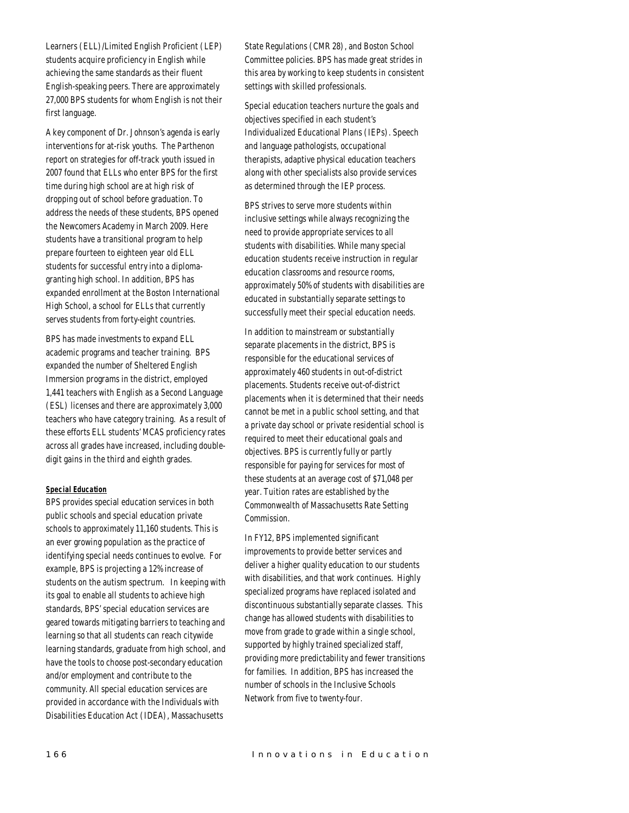Learners (ELL)/Limited English Proficient (LEP) students acquire proficiency in English while achieving the same standards as their fluent English-speaking peers. There are approximately 27,000 BPS students for whom English is not their first language.

A key component of Dr. Johnson's agenda is early interventions for at-risk youths. The Parthenon report on strategies for off-track youth issued in 2007 found that ELLs who enter BPS for the first time during high school are at high risk of dropping out of school before graduation. To address the needs of these students, BPS opened the Newcomers Academy in March 2009. Here students have a transitional program to help prepare fourteen to eighteen year old ELL students for successful entry into a diplomagranting high school. In addition, BPS has expanded enrollment at the Boston International High School, a school for ELLs that currently serves students from forty-eight countries.

BPS has made investments to expand ELL academic programs and teacher training. BPS expanded the number of Sheltered English Immersion programs in the district, employed 1,441 teachers with English as a Second Language (ESL) licenses and there are approximately 3,000 teachers who have category training. As a result of these efforts ELL students' MCAS proficiency rates across all grades have increased, including doubledigit gains in the third and eighth grades.

#### *Special Education*

BPS provides special education services in both public schools and special education private schools to approximately 11,160 students. This is an ever growing population as the practice of identifying special needs continues to evolve. For example, BPS is projecting a 12% increase of students on the autism spectrum. In keeping with its goal to enable all students to achieve high standards, BPS' special education services are geared towards mitigating barriers to teaching and learning so that all students can reach citywide learning standards, graduate from high school, and have the tools to choose post-secondary education and/or employment and contribute to the community. All special education services are provided in accordance with the Individuals with Disabilities Education Act (IDEA), Massachusetts

State Regulations (CMR 28), and Boston School Committee policies. BPS has made great strides in this area by working to keep students in consistent settings with skilled professionals.

Special education teachers nurture the goals and objectives specified in each student's Individualized Educational Plans (IEPs). Speech and language pathologists, occupational therapists, adaptive physical education teachers along with other specialists also provide services as determined through the IEP process.

BPS strives to serve more students within inclusive settings while always recognizing the need to provide appropriate services to all students with disabilities. While many special education students receive instruction in regular education classrooms and resource rooms, approximately 50% of students with disabilities are educated in substantially separate settings to successfully meet their special education needs.

In addition to mainstream or substantially separate placements in the district, BPS is responsible for the educational services of approximately 460 students in out-of-district placements. Students receive out-of-district placements when it is determined that their needs cannot be met in a public school setting, and that a private day school or private residential school is required to meet their educational goals and objectives. BPS is currently fully or partly responsible for paying for services for most of these students at an average cost of \$71,048 per year. Tuition rates are established by the Commonwealth of Massachusetts Rate Setting Commission.

In FY12, BPS implemented significant improvements to provide better services and deliver a higher quality education to our students with disabilities, and that work continues. Highly specialized programs have replaced isolated and discontinuous substantially separate classes. This change has allowed students with disabilities to move from grade to grade within a single school, supported by highly trained specialized staff, providing more predictability and fewer transitions for families. In addition, BPS has increased the number of schools in the Inclusive Schools Network from five to twenty-four.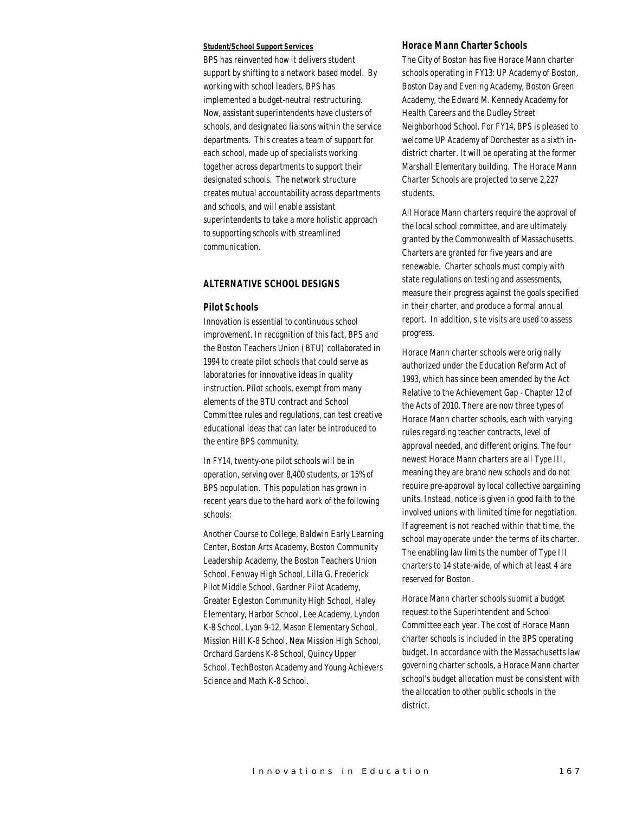#### *Student/School Support Services*

BPS has reinvented how it delivers student support by shifting to a network based model. By working with school leaders, BPS has implemented a budget-neutral restructuring. Now, assistant superintendents have clusters of schools, and designated liaisons within the service departments. This creates a team of support for each school, made up of specialists working together across departments to support their designated schools. The network structure creates mutual accountability across departments and schools, and will enable assistant superintendents to take a more holistic approach to supporting schools with streamlined communication.

## *ALTERNATIVE SCHOOL DESIGNS*

#### *Pilot Schools*

Innovation is essential to continuous school improvement. In recognition of this fact, BPS and the Boston Teachers Union (BTU) collaborated in 1994 to create pilot schools that could serve as laboratories for innovative ideas in quality instruction. Pilot schools, exempt from many elements of the BTU contract and School Committee rules and regulations, can test creative educational ideas that can later be introduced to the entire BPS community.

In FY14, twenty-one pilot schools will be in operation, serving over 8,400 students, or 15% of BPS population. This population has grown in recent years due to the hard work of the following schools:

Another Course to College, Baldwin Early Learning Center, Boston Arts Academy, Boston Community Leadership Academy, the Boston Teachers Union School, Fenway High School, Lilla G. Frederick Pilot Middle School, Gardner Pilot Academy, Greater Egleston Community High School, Haley Elementary, Harbor School, Lee Academy, Lyndon K-8 School, Lyon 9-12, Mason Elementary School, Mission Hill K-8 School, New Mission High School, Orchard Gardens K-8 School, Quincy Upper School, TechBoston Academy and Young Achievers Science and Math K-8 School.

#### *Horace Mann Charter Schools*

The City of Boston has five Horace Mann charter schools operating in FY13: UP Academy of Boston, Boston Day and Evening Academy, Boston Green Academy, the Edward M. Kennedy Academy for Health Careers and the Dudley Street Neighborhood School. For FY14, BPS is pleased to welcome UP Academy of Dorchester as a sixth indistrict charter. It will be operating at the former Marshall Elementary building. The Horace Mann Charter Schools are projected to serve 2,227 students.

All Horace Mann charters require the approval of the local school committee, and are ultimately granted by the Commonwealth of Massachusetts. Charters are granted for five years and are renewable. Charter schools must comply with state regulations on testing and assessments, measure their progress against the goals specified in their charter, and produce a formal annual report. In addition, site visits are used to assess progress.

Horace Mann charter schools were originally authorized under the Education Reform Act of 1993, which has since been amended by the Act Relative to the Achievement Gap - Chapter 12 of the Acts of 2010. There are now three types of Horace Mann charter schools, each with varying rules regarding teacher contracts, level of approval needed, and different origins. The four newest Horace Mann charters are all Type III, meaning they are brand new schools and do not require pre-approval by local collective bargaining units. Instead, notice is given in good faith to the involved unions with limited time for negotiation. If agreement is not reached within that time, the school may operate under the terms of its charter. The enabling law limits the number of Type III charters to 14 state-wide, of which at least 4 are reserved for Boston.

Horace Mann charter schools submit a budget request to the Superintendent and School Committee each year. The cost of Horace Mann charter schools is included in the BPS operating budget. In accordance with the Massachusetts law governing charter schools, a Horace Mann charter school's budget allocation must be consistent with the allocation to other public schools in the district.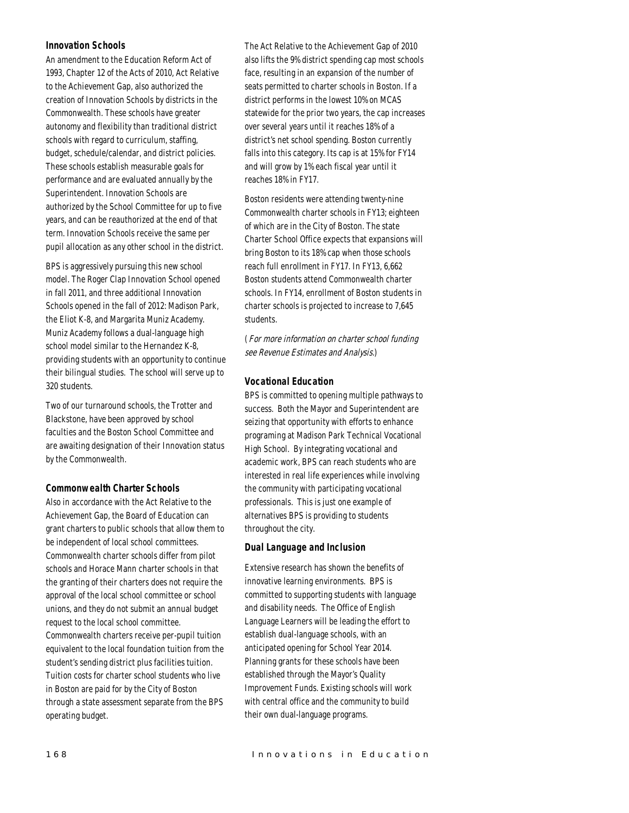## *Innovation Schools*

An amendment to the Education Reform Act of 1993, Chapter 12 of the Acts of 2010, Act Relative to the Achievement Gap, also authorized the creation of Innovation Schools by districts in the Commonwealth. These schools have greater autonomy and flexibility than traditional district schools with regard to curriculum, staffing, budget, schedule/calendar, and district policies. These schools establish measurable goals for performance and are evaluated annually by the Superintendent. Innovation Schools are authorized by the School Committee for up to five years, and can be reauthorized at the end of that term. Innovation Schools receive the same per pupil allocation as any other school in the district.

BPS is aggressively pursuing this new school model. The Roger Clap Innovation School opened in fall 2011, and three additional Innovation Schools opened in the fall of 2012: Madison Park, the Eliot K-8, and Margarita Muniz Academy. Muniz Academy follows a dual-language high school model similar to the Hernandez K-8, providing students with an opportunity to continue their bilingual studies. The school will serve up to 320 students.

Two of our turnaround schools, the Trotter and Blackstone, have been approved by school faculties and the Boston School Committee and are awaiting designation of their Innovation status by the Commonwealth.

#### *Commonwealth Charter Schools*

Also in accordance with the Act Relative to the Achievement Gap, the Board of Education can grant charters to public schools that allow them to be independent of local school committees. Commonwealth charter schools differ from pilot schools and Horace Mann charter schools in that the granting of their charters does not require the approval of the local school committee or school unions, and they do not submit an annual budget request to the local school committee. Commonwealth charters receive per-pupil tuition equivalent to the local foundation tuition from the student's sending district plus facilities tuition. Tuition costs for charter school students who live in Boston are paid for by the City of Boston through a state assessment separate from the BPS operating budget.

The Act Relative to the Achievement Gap of 2010 also lifts the 9% district spending cap most schools face, resulting in an expansion of the number of seats permitted to charter schools in Boston. If a district performs in the lowest 10% on MCAS statewide for the prior two years, the cap increases over several years until it reaches 18% of a district's net school spending. Boston currently falls into this category. Its cap is at 15% for FY14 and will grow by 1% each fiscal year until it reaches 18% in FY17.

Boston residents were attending twenty-nine Commonwealth charter schools in FY13; eighteen of which are in the City of Boston. The state Charter School Office expects that expansions will bring Boston to its 18% cap when those schools reach full enrollment in FY17. In FY13, 6,662 Boston students attend Commonwealth charter schools. In FY14, enrollment of Boston students in charter schools is projected to increase to 7,645 students.

(For more information on charter school funding see Revenue Estimates and Analysis.)

## *Vocational Education*

BPS is committed to opening multiple pathways to success. Both the Mayor and Superintendent are seizing that opportunity with efforts to enhance programing at Madison Park Technical Vocational High School. By integrating vocational and academic work, BPS can reach students who are interested in real life experiences while involving the community with participating vocational professionals. This is just one example of alternatives BPS is providing to students throughout the city.

## *Dual Language and Inclusion*

Extensive research has shown the benefits of innovative learning environments. BPS is committed to supporting students with language and disability needs. The Office of English Language Learners will be leading the effort to establish dual-language schools, with an anticipated opening for School Year 2014. Planning grants for these schools have been established through the Mayor's Quality Improvement Funds. Existing schools will work with central office and the community to build their own dual-language programs.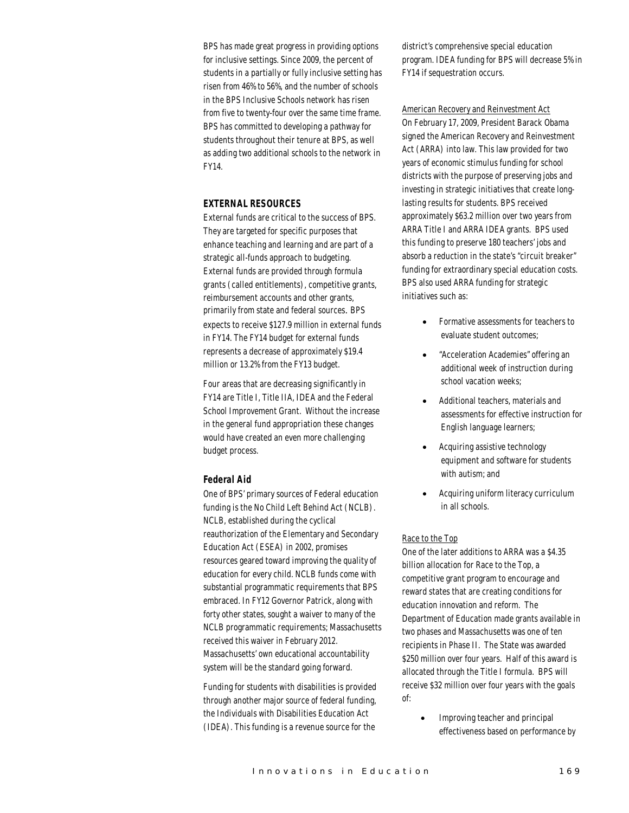BPS has made great progress in providing options for inclusive settings. Since 2009, the percent of students in a partially or fully inclusive setting has risen from 46% to 56%, and the number of schools in the BPS Inclusive Schools network has risen from five to twenty-four over the same time frame. BPS has committed to developing a pathway for students throughout their tenure at BPS, as well as adding two additional schools to the network in FY14.

## *EXTERNAL RESOURCES*

External funds are critical to the success of BPS. They are targeted for specific purposes that enhance teaching and learning and are part of a strategic all-funds approach to budgeting. External funds are provided through formula grants (called entitlements), competitive grants, reimbursement accounts and other grants, primarily from state and federal sources. BPS expects to receive \$127.9 million in external funds in FY14. The FY14 budget for external funds represents a decrease of approximately \$19.4 million or 13.2% from the FY13 budget.

Four areas that are decreasing significantly in FY14 are Title I, Title IIA, IDEA and the Federal School Improvement Grant. Without the increase in the general fund appropriation these changes would have created an even more challenging budget process.

#### *Federal Aid*

One of BPS' primary sources of Federal education funding is the No Child Left Behind Act (NCLB). NCLB, established during the cyclical reauthorization of the Elementary and Secondary Education Act (ESEA) in 2002, promises resources geared toward improving the quality of education for every child. NCLB funds come with substantial programmatic requirements that BPS embraced. In FY12 Governor Patrick, along with forty other states, sought a waiver to many of the NCLB programmatic requirements; Massachusetts received this waiver in February 2012. Massachusetts' own educational accountability system will be the standard going forward.

Funding for students with disabilities is provided through another major source of federal funding, the Individuals with Disabilities Education Act (IDEA). This funding is a revenue source for the

district's comprehensive special education program. IDEA funding for BPS will decrease 5% in FY14 if sequestration occurs.

American Recovery and Reinvestment Act On February 17, 2009, President Barack Obama signed the American Recovery and Reinvestment Act (ARRA) into law. This law provided for two years of economic stimulus funding for school districts with the purpose of preserving jobs and investing in strategic initiatives that create longlasting results for students. BPS received approximately \$63.2 million over two years from ARRA Title I and ARRA IDEA grants. BPS used this funding to preserve 180 teachers' jobs and absorb a reduction in the state's "circuit breaker" funding for extraordinary special education costs. BPS also used ARRA funding for strategic initiatives such as:

- Formative assessments for teachers to evaluate student outcomes;
- "Acceleration Academies" offering an additional week of instruction during school vacation weeks;
- Additional teachers, materials and assessments for effective instruction for English language learners;
- Acquiring assistive technology equipment and software for students with autism; and
- Acquiring uniform literacy curriculum in all schools.

## Race to the Top

One of the later additions to ARRA was a \$4.35 billion allocation for Race to the Top, a competitive grant program to encourage and reward states that are creating conditions for education innovation and reform. The Department of Education made grants available in two phases and Massachusetts was one of ten recipients in Phase II. The State was awarded \$250 million over four years. Half of this award is allocated through the Title I formula. BPS will receive \$32 million over four years with the goals of:

> • Improving teacher and principal effectiveness based on performance by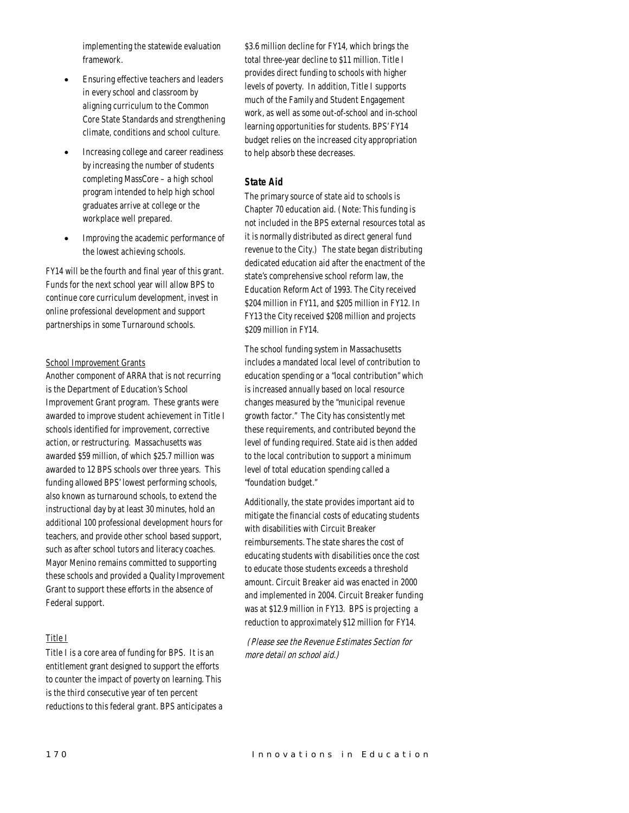implementing the statewide evaluation framework.

- Ensuring effective teachers and leaders in every school and classroom by aligning curriculum to the Common Core State Standards and strengthening climate, conditions and school culture.
- Increasing college and career readiness by increasing the number of students completing MassCore – a high school program intended to help high school graduates arrive at college or the workplace well prepared.
- Improving the academic performance of the lowest achieving schools.

FY14 will be the fourth and final year of this grant. Funds for the next school year will allow BPS to continue core curriculum development, invest in online professional development and support partnerships in some Turnaround schools.

## School Improvement Grants

Another component of ARRA that is not recurring is the Department of Education's School Improvement Grant program. These grants were awarded to improve student achievement in Title I schools identified for improvement, corrective action, or restructuring. Massachusetts was awarded \$59 million, of which \$25.7 million was awarded to 12 BPS schools over three years. This funding allowed BPS' lowest performing schools, also known as turnaround schools, to extend the instructional day by at least 30 minutes, hold an additional 100 professional development hours for teachers, and provide other school based support, such as after school tutors and literacy coaches. Mayor Menino remains committed to supporting these schools and provided a Quality Improvement Grant to support these efforts in the absence of Federal support.

# Title I

Title I is a core area of funding for BPS. It is an entitlement grant designed to support the efforts to counter the impact of poverty on learning. This is the third consecutive year of ten percent reductions to this federal grant. BPS anticipates a \$3.6 million decline for FY14, which brings the total three-year decline to \$11 million. Title I provides direct funding to schools with higher levels of poverty. In addition, Title I supports much of the Family and Student Engagement work, as well as some out-of-school and in-school learning opportunities for students. BPS' FY14 budget relies on the increased city appropriation to help absorb these decreases.

## *State Aid*

The primary source of state aid to schools is Chapter 70 education aid. (Note: This funding is not included in the BPS external resources total as it is normally distributed as direct general fund revenue to the City.) The state began distributing dedicated education aid after the enactment of the state's comprehensive school reform law, the Education Reform Act of 1993. The City received \$204 million in FY11, and \$205 million in FY12. In FY13 the City received \$208 million and projects \$209 million in FY14.

The school funding system in Massachusetts includes a mandated local level of contribution to education spending or a "local contribution" which is increased annually based on local resource changes measured by the "municipal revenue growth factor." The City has consistently met these requirements, and contributed beyond the level of funding required. State aid is then added to the local contribution to support a minimum level of total education spending called a "foundation budget."

Additionally, the state provides important aid to mitigate the financial costs of educating students with disabilities with Circuit Breaker reimbursements. The state shares the cost of educating students with disabilities once the cost to educate those students exceeds a threshold amount. Circuit Breaker aid was enacted in 2000 and implemented in 2004. Circuit Breaker funding was at \$12.9 million in FY13. BPS is projecting a reduction to approximately \$12 million for FY14.

 (Please see the Revenue Estimates Section for more detail on school aid.)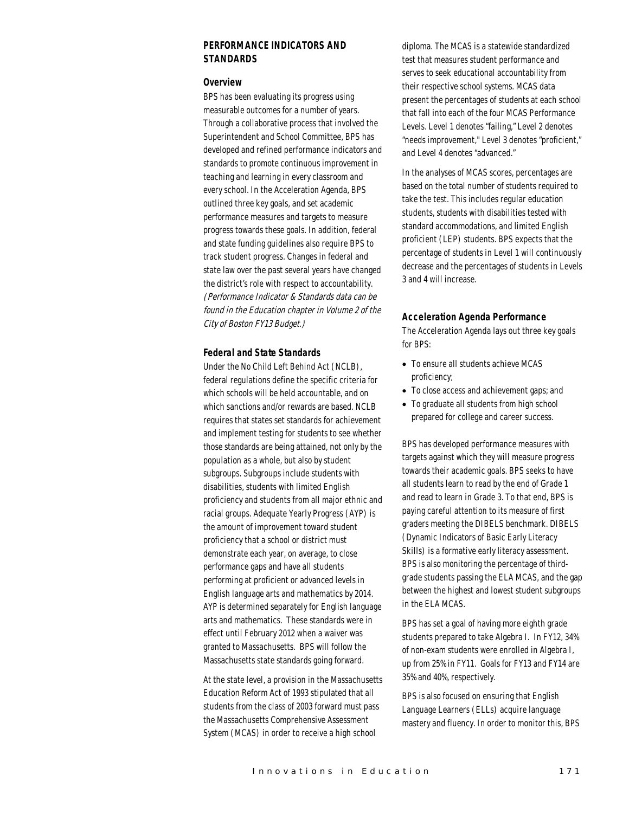# *PERFORMANCE INDICATORS AND STANDARDS*

#### *Overview*

BPS has been evaluating its progress using measurable outcomes for a number of years. Through a collaborative process that involved the Superintendent and School Committee, BPS has developed and refined performance indicators and standards to promote continuous improvement in teaching and learning in every classroom and every school. In the Acceleration Agenda, BPS outlined three key goals, and set academic performance measures and targets to measure progress towards these goals. In addition, federal and state funding guidelines also require BPS to track student progress. Changes in federal and state law over the past several years have changed the district's role with respect to accountability. (Performance Indicator & Standards data can be found in the Education chapter in Volume 2 of the City of Boston FY13 Budget.)

#### *Federal and State Standards*

Under the No Child Left Behind Act (NCLB), federal regulations define the specific criteria for which schools will be held accountable, and on which sanctions and/or rewards are based. NCLB requires that states set standards for achievement and implement testing for students to see whether those standards are being attained, not only by the population as a whole, but also by student subgroups. Subgroups include students with disabilities, students with limited English proficiency and students from all major ethnic and racial groups. Adequate Yearly Progress (AYP) is the amount of improvement toward student proficiency that a school or district must demonstrate each year, on average, to close performance gaps and have all students performing at proficient or advanced levels in English language arts and mathematics by 2014. AYP is determined separately for English language arts and mathematics. These standards were in effect until February 2012 when a waiver was granted to Massachusetts. BPS will follow the Massachusetts state standards going forward.

At the state level, a provision in the Massachusetts Education Reform Act of 1993 stipulated that all students from the class of 2003 forward must pass the Massachusetts Comprehensive Assessment System (MCAS) in order to receive a high school

diploma. The MCAS is a statewide standardized test that measures student performance and serves to seek educational accountability from their respective school systems. MCAS data present the percentages of students at each school that fall into each of the four MCAS Performance Levels. Level 1 denotes "failing," Level 2 denotes "needs improvement," Level 3 denotes "proficient," and Level 4 denotes "advanced."

In the analyses of MCAS scores, percentages are based on the total number of students required to take the test. This includes regular education students, students with disabilities tested with standard accommodations, and limited English proficient (LEP) students. BPS expects that the percentage of students in Level 1 will continuously decrease and the percentages of students in Levels 3 and 4 will increase.

## *Acceleration Agenda Performance*

The Acceleration Agenda lays out three key goals for BPS:

- To ensure all students achieve MCAS proficiency;
- To close access and achievement gaps; and
- To graduate all students from high school prepared for college and career success.

BPS has developed performance measures with targets against which they will measure progress towards their academic goals. BPS seeks to have all students learn to read by the end of Grade 1 and read to learn in Grade 3. To that end, BPS is paying careful attention to its measure of first graders meeting the DIBELS benchmark. DIBELS (Dynamic Indicators of Basic Early Literacy Skills) is a formative early literacy assessment. BPS is also monitoring the percentage of thirdgrade students passing the ELA MCAS, and the gap between the highest and lowest student subgroups in the ELA MCAS.

BPS has set a goal of having more eighth grade students prepared to take Algebra I. In FY12, 34% of non-exam students were enrolled in Algebra I, up from 25% in FY11. Goals for FY13 and FY14 are 35% and 40%, respectively.

BPS is also focused on ensuring that English Language Learners (ELLs) acquire language mastery and fluency. In order to monitor this, BPS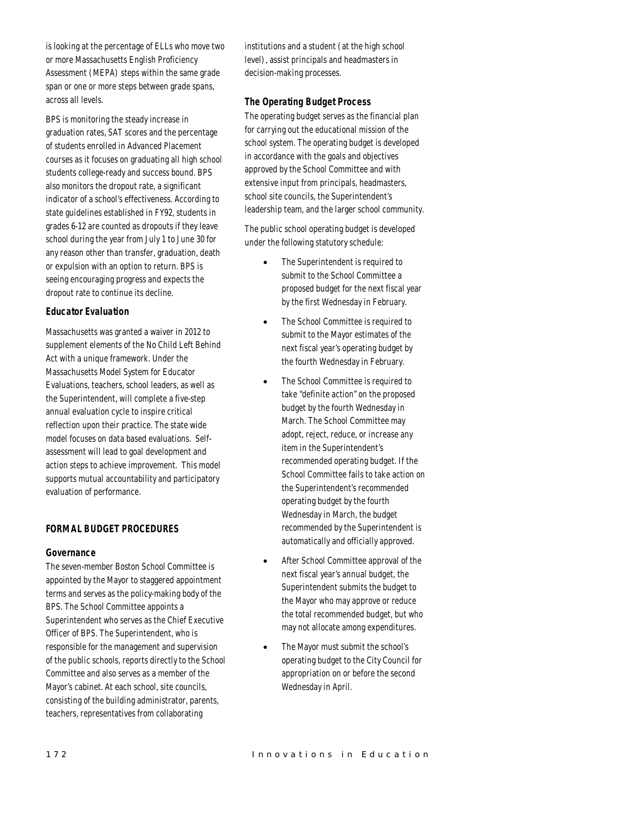is looking at the percentage of ELLs who move two or more Massachusetts English Proficiency Assessment (MEPA) steps within the same grade span or one or more steps between grade spans, across all levels.

BPS is monitoring the steady increase in graduation rates, SAT scores and the percentage of students enrolled in Advanced Placement courses as it focuses on graduating all high school students college-ready and success bound. BPS also monitors the dropout rate, a significant indicator of a school's effectiveness. According to state guidelines established in FY92, students in grades 6-12 are counted as dropouts if they leave school during the year from July 1 to June 30 for any reason other than transfer, graduation, death or expulsion with an option to return. BPS is seeing encouraging progress and expects the dropout rate to continue its decline.

# *Educator Evaluation*

Massachusetts was granted a waiver in 2012 to supplement elements of the No Child Left Behind Act with a unique framework. Under the Massachusetts Model System for Educator Evaluations, teachers, school leaders, as well as the Superintendent, will complete a five-step annual evaluation cycle to inspire critical reflection upon their practice. The state wide model focuses on data based evaluations. Selfassessment will lead to goal development and action steps to achieve improvement. This model supports mutual accountability and participatory evaluation of performance.

# *FORMAL BUDGET PROCEDURES*

## *Governance*

The seven-member Boston School Committee is appointed by the Mayor to staggered appointment terms and serves as the policy-making body of the BPS. The School Committee appoints a Superintendent who serves as the Chief Executive Officer of BPS. The Superintendent, who is responsible for the management and supervision of the public schools, reports directly to the School Committee and also serves as a member of the Mayor's cabinet. At each school, site councils, consisting of the building administrator, parents, teachers, representatives from collaborating

institutions and a student (at the high school level), assist principals and headmasters in decision-making processes.

# *The Operating Budget Process*

The operating budget serves as the financial plan for carrying out the educational mission of the school system. The operating budget is developed in accordance with the goals and objectives approved by the School Committee and with extensive input from principals, headmasters, school site councils, the Superintendent's leadership team, and the larger school community.

The public school operating budget is developed under the following statutory schedule:

- The Superintendent is required to submit to the School Committee a proposed budget for the next fiscal year by the first Wednesday in February.
- The School Committee is required to submit to the Mayor estimates of the next fiscal year's operating budget by the fourth Wednesday in February.
- The School Committee is required to take "definite action" on the proposed budget by the fourth Wednesday in March. The School Committee may adopt, reject, reduce, or increase any item in the Superintendent's recommended operating budget. If the School Committee fails to take action on the Superintendent's recommended operating budget by the fourth Wednesday in March, the budget recommended by the Superintendent is automatically and officially approved.
- After School Committee approval of the next fiscal year's annual budget, the Superintendent submits the budget to the Mayor who may approve or reduce the total recommended budget, but who may not allocate among expenditures.
- The Mayor must submit the school's operating budget to the City Council for appropriation on or before the second Wednesday in April.